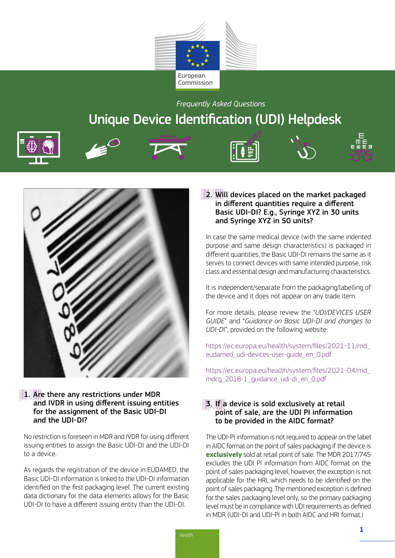

*Frequently Asked Questions* 

# Unique Device Identification (UDI) Helpdesk







# 1. Are there any restrictions under MDR and IVDR in using different issuing entities for the assignment of the Basic UDI-DI and the UDI-DI?

No restriction is foreseen in MDR and IVDR for using different issuing entities to assign the Basic UDI-DI and the UDI-DI to a device.

As regards the registration of the device in EUDAMED, the Basic UDI-DI information is linked to the UDI-DI information identified on the first packaging level. The current existing data dictionary for the data elements allows for the Basic UDI-DI to have a different issuing entity than the UDI-DI.

# 2. Will devices placed on the market packaged in different quantities require a different Basic UDI-DI? E.g., Syringe XYZ in 30 units and Syringe XYZ in 50 units?

In case the same medical device (with the same indented purpose and same design characteristics) is packaged in different quantities, the Basic UDI-DI remains the same as it serves to connect devices with same intended purpose, risk class and essential design and manufacturing characteristics.

It is independent/separate from the packaging/labelling of the device and it does not appear on any trade item.

For more details, please review the "*UDI/DEVICES USER GUIDE*" and "*Guidance on Basic UDI-DI and changes to UDI-D*I", provided on the following website:

[https://ec.europa.eu/health/system/files/2021-11/md\\_](https://ec.europa.eu/health/system/files/2021-11/md_eudamed_udi-devices-user-guide_en_0.pdf) [eudamed\\_udi-devices-user-guide\\_en\\_0.pdf](https://ec.europa.eu/health/system/files/2021-11/md_eudamed_udi-devices-user-guide_en_0.pdf) 

[https://ec.europa.eu/health/system/files/2021-04/md\\_](https://ec.europa.eu/health/system/files/2021-04/md_mdcg_2018-1_guidance_udi-di_en_0.pdf) [mdcg\\_2018-1\\_guidance\\_udi-di\\_en\\_0.pdf](https://ec.europa.eu/health/system/files/2021-04/md_mdcg_2018-1_guidance_udi-di_en_0.pdf)

# 3. If a device is sold exclusively at retail point of sale, are the UDI PI information to be provided in the AIDC format?

The UDI-PI information is not required to appear on the label in AIDC format on the point of sales packaging if the device is **exclusively** sold at retail point of sale. The MDR 2017/745 excludes the UDI PI information from AIDC format on the point of sales packaging level, however, the exception is not applicable for the HRI, which needs to be identified on the point of sales packaging. The mentioned exception is defined for the sales packaging level only, so the primary packaging level must be in compliance with UDI requirements as defined in MDR (UDI-DI and UDI-PI in both AIDC and HRI format.)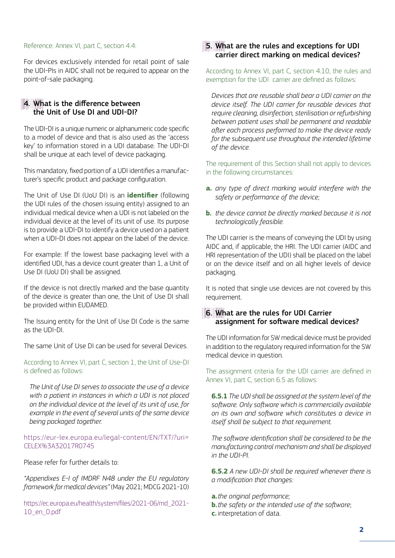#### Reference: Annex VI, part C, section 4.4:

For devices exclusively intended for retail point of sale the UDI-PIs in AIDC shall not be required to appear on the point-of-sale packaging.

## 4. What is the difference between the Unit of Use DI and UDI-DI?

The UDI-DI is a unique numeric or alphanumeric code specific to a model of device and that is also used as the 'access key' to information stored in a UDI database. The UDI-DI shall be unique at each level of device packaging.

This mandatory, fixed portion of a UDI identifies a manufacturer's specific product and package configuration.

The Unit of Use DI (UoU DI) is an **identifier** (following the UDI rules of the chosen issuing entity) assigned to an individual medical device when a UDI is not labeled on the individual device at the level of its unit of use. Its purpose is to provide a UDI-DI to identify a device used on a patient when a UDI-DI does not appear on the label of the device.

For example: If the lowest base packaging level with a identified UDI, has a device count greater than 1, a Unit of Use DI (UoU DI) shall be assigned.

If the device is not directly marked and the base quantity of the device is greater than one, the Unit of Use DI shall be provided within EUDAMED.

The Issuing entity for the Unit of Use DI Code is the same as the UDI-DI.

The same Unit of Use DI can be used for several Devices.

According to Annex VI, part C, section 1, the Unit of Use-DI is defined as follows:

*The Unit of Use DI serves to associate the use of a device with a patient in instances in which a UDI is not placed on the individual device at the level of its unit of use, for example in the event of several units of the same device being packaged together.*

[https://eur-lex.europa.eu/legal-content/EN/TXT/?uri=](https://eur-lex.europa.eu/legal-content/EN/TXT/?uri=CELEX%3A32017R0745)  [CELEX%3A32017R0745](https://eur-lex.europa.eu/legal-content/EN/TXT/?uri=CELEX%3A32017R0745)

Please refer for further details to:

*"Appendixes E-I of IMDRF N48 under the EU regulatory framework for medical devices"* (May 2021; MDCG 2021-10)

[https://ec.europa.eu/health/system/files/2021-06/md\\_2021-](https://ec.europa.eu/health/system/files/2021-06/md_2021-10_en_0.pdf) [10\\_en\\_0.pdf](https://ec.europa.eu/health/system/files/2021-06/md_2021-10_en_0.pdf) 

## 5. What are the rules and exceptions for UDI carrier direct marking on medical devices?

According to Annex VI, part C, section 4.10, the rules and exemption for the UDI carrier are defined as follows:

*Devices that are reusable shall bear a UDI carrier on the device itself. The UDI carrier for reusable devices that require cleaning, disinfection, sterilisation or refurbishing between patient uses shall be permanent and readable after each process performed to make the device ready for the subsequent use throughout the intended lifetime of the device.* 

The requirement of this Section shall not apply to devices in the following circumstances:

- **a.** *any type of direct marking would interfere with the safety or performance of the device;*
- **b.** *the device cannot be directly marked because it is not technologically feasible.*

The UDI carrier is the means of conveying the UDI by using AIDC and, if applicable, the HRI. The UDI carrier (AIDC and HRI representation of the UDI) shall be placed on the label or on the device itself and on all higher levels of device packaging.

It is noted that single use devices are not covered by this requirement.

## 6. What are the rules for UDI Carrier assignment for software medical devices?

The UDI information for SW medical device must be provided in addition to the regulatory required information for the SW medical device in question.

The assignment criteria for the UDI carrier are defined in Annex VI, part C, section 6.5 as follows:

**6.5.1** *The UDI shall be assigned at the system level of the software. Only software which is commercially available on its own and software which constitutes a device in itself shall be subject to that requirement.*

*The software identification shall be considered to be the manufacturing control mechanism and shall be displayed in the UDI-PI.*

**6.5.2** *A new UDI-DI shall be required whenever there is a modification that changes:*

- **a.***the original performance;*
- **b.***the safety or the intended use of the software*; **c.** interpretation of data.